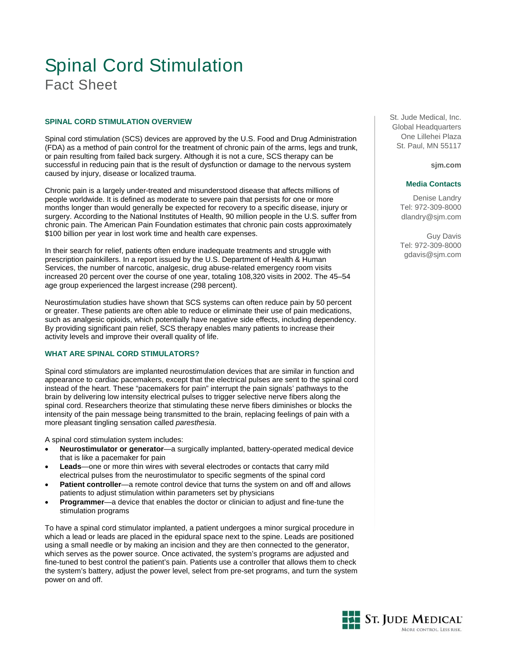# Spinal Cord Stimulation Fact Sheet

# **SPINAL CORD STIMULATION OVERVIEW**

Spinal cord stimulation (SCS) devices are approved by the U.S. Food and Drug Administration (FDA) as a method of pain control for the treatment of chronic pain of the arms, legs and trunk, or pain resulting from failed back surgery. Although it is not a cure, SCS therapy can be successful in reducing pain that is the result of dysfunction or damage to the nervous system caused by injury, disease or localized trauma.

Chronic pain is a largely under-treated and misunderstood disease that affects millions of people worldwide. It is defined as moderate to severe pain that persists for one or more months longer than would generally be expected for recovery to a specific disease, injury or surgery. According to the National Institutes of Health, 90 million people in the U.S. suffer from chronic pain. The American Pain Foundation estimates that chronic pain costs approximately \$100 billion per year in lost work time and health care expenses.

In their search for relief, patients often endure inadequate treatments and struggle with prescription painkillers. In a report issued by the U.S. Department of Health & Human Services, the number of narcotic, analgesic, drug abuse-related emergency room visits increased 20 percent over the course of one year, totaling 108,320 visits in 2002. The 45–54 age group experienced the largest increase (298 percent).

Neurostimulation studies have shown that SCS systems can often reduce pain by 50 percent or greater. These patients are often able to reduce or eliminate their use of pain medications, such as analgesic opioids, which potentially have negative side effects, including dependency. By providing significant pain relief, SCS therapy enables many patients to increase their activity levels and improve their overall quality of life.

# **WHAT ARE SPINAL CORD STIMULATORS?**

Spinal cord stimulators are implanted neurostimulation devices that are similar in function and appearance to cardiac pacemakers, except that the electrical pulses are sent to the spinal cord instead of the heart. These "pacemakers for pain" interrupt the pain signals' pathways to the brain by delivering low intensity electrical pulses to trigger selective nerve fibers along the spinal cord. Researchers theorize that stimulating these nerve fibers diminishes or blocks the intensity of the pain message being transmitted to the brain, replacing feelings of pain with a more pleasant tingling sensation called *paresthesia*.

A spinal cord stimulation system includes:

- **Neurostimulator or generator**—a surgically implanted, battery-operated medical device that is like a pacemaker for pain
- Leads—one or more thin wires with several electrodes or contacts that carry mild electrical pulses from the neurostimulator to specific segments of the spinal cord
- **Patient controller**—a remote control device that turns the system on and off and allows patients to adjust stimulation within parameters set by physicians
- **Programmer**—a device that enables the doctor or clinician to adjust and fine-tune the stimulation programs

To have a spinal cord stimulator implanted, a patient undergoes a minor surgical procedure in which a lead or leads are placed in the epidural space next to the spine. Leads are positioned using a small needle or by making an incision and they are then connected to the generator, which serves as the power source. Once activated, the system's programs are adjusted and fine-tuned to best control the patient's pain. Patients use a controller that allows them to check the system's battery, adjust the power level, select from pre-set programs, and turn the system power on and off.

St. Jude Medical, Inc. Global Headquarters One Lillehei Plaza St. Paul, MN 55117

**sjm.com**

### **Media Contacts**

Denise Landry Tel: 972-309-8000 dlandry@sjm.com

Guy Davis Tel: 972-309-8000 gdavis@sjm.com